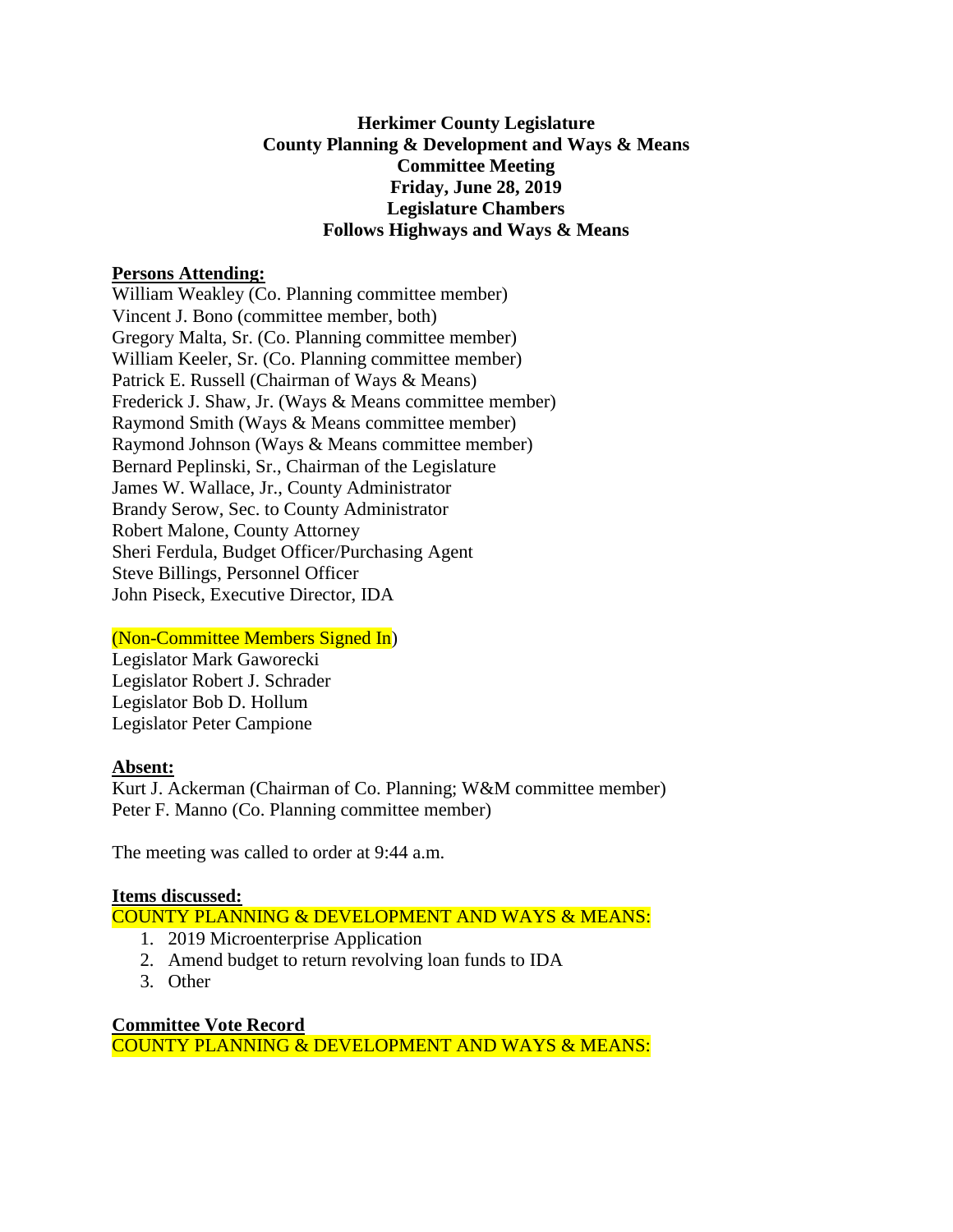### **Herkimer County Legislature County Planning & Development and Ways & Means Committee Meeting Friday, June 28, 2019 Legislature Chambers Follows Highways and Ways & Means**

### **Persons Attending:**

William Weakley (Co. Planning committee member) Vincent J. Bono (committee member, both) Gregory Malta, Sr. (Co. Planning committee member) William Keeler, Sr. (Co. Planning committee member) Patrick E. Russell (Chairman of Ways & Means) Frederick J. Shaw, Jr. (Ways & Means committee member) Raymond Smith (Ways & Means committee member) Raymond Johnson (Ways & Means committee member) Bernard Peplinski, Sr., Chairman of the Legislature James W. Wallace, Jr., County Administrator Brandy Serow, Sec. to County Administrator Robert Malone, County Attorney Sheri Ferdula, Budget Officer/Purchasing Agent Steve Billings, Personnel Officer John Piseck, Executive Director, IDA

# (Non-Committee Members Signed In)

Legislator Mark Gaworecki Legislator Robert J. Schrader Legislator Bob D. Hollum Legislator Peter Campione

# **Absent:**

Kurt J. Ackerman (Chairman of Co. Planning; W&M committee member) Peter F. Manno (Co. Planning committee member)

The meeting was called to order at 9:44 a.m.

# **Items discussed:**

COUNTY PLANNING & DEVELOPMENT AND WAYS & MEANS:

- 1. 2019 Microenterprise Application
- 2. Amend budget to return revolving loan funds to IDA
- 3. Other

**Committee Vote Record** COUNTY PLANNING & DEVELOPMENT AND WAYS & MEANS: